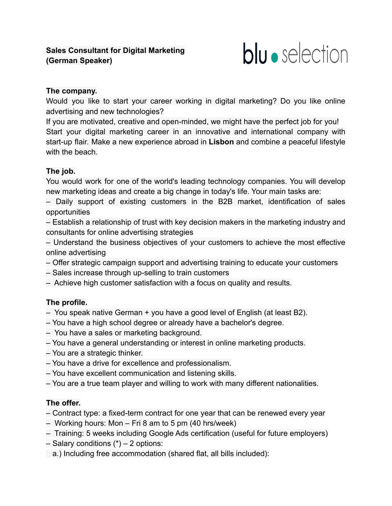

## **The company.**

Would you like to start your career working in digital marketing? Do you like online advertising and new technologies?

If you are motivated, creative and open-minded, we might have the perfect job for you! Start your digital marketing career in an innovative and international company with start-up flair. Make a new experience abroad in **Lisbon** and combine a peaceful lifestyle with the beach.

## **The job.**

You would work for one of the world's leading technology companies. You will develop new marketing ideas and create a big change in today's life. Your main tasks are:

– Daily support of existing customers in the B2B market, identification of sales opportunities

– Establish a relationship of trust with key decision makers in the marketing industry and consultants for online advertising strategies

– Understand the business objectives of your customers to achieve the most effective online advertising

- Offer strategic campaign support and advertising training to educate your customers
- Sales increase through up-selling to train customers
- Achieve high customer satisfaction with a focus on quality and results.

## **The profile.**

- You speak native German + you have a good level of English (at least B2).
- You have a high school degree or already have a bachelor's degree.
- You have a sales or marketing background.
- You have a general understanding or interest in online marketing products.
- You are a strategic thinker.
- You have a drive for excellence and professionalism.
- You have excellent communication and listening skills.
- You are a true team player and willing to work with many different nationalities.

## **The offer.**

- Contract type: a fixed-term contract for one year that can be renewed every year
- Working hours: Mon Fri 8 am to 5 pm (40 hrs/week)
- Training: 5 weeks including Google Ads certification (useful for future employers)
- $-$  Salary conditions  $(*)$  2 options:
	- a.) Including free accommodation (shared flat, all bills included):